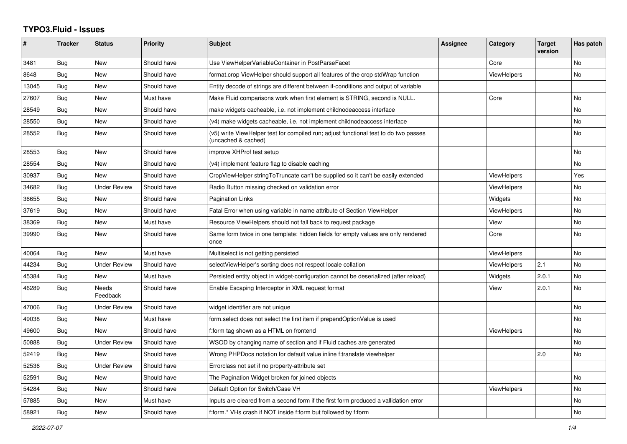## **TYPO3.Fluid - Issues**

| #     | <b>Tracker</b> | <b>Status</b>       | <b>Priority</b> | <b>Subject</b>                                                                                              | Assignee | Category           | <b>Target</b><br>version | Has patch |
|-------|----------------|---------------------|-----------------|-------------------------------------------------------------------------------------------------------------|----------|--------------------|--------------------------|-----------|
| 3481  | Bug            | New                 | Should have     | Use ViewHelperVariableContainer in PostParseFacet                                                           |          | Core               |                          | No        |
| 8648  | <b>Bug</b>     | New                 | Should have     | format.crop ViewHelper should support all features of the crop stdWrap function                             |          | <b>ViewHelpers</b> |                          | <b>No</b> |
| 13045 | Bug            | New                 | Should have     | Entity decode of strings are different between if-conditions and output of variable                         |          |                    |                          |           |
| 27607 | Bug            | New                 | Must have       | Make Fluid comparisons work when first element is STRING, second is NULL.                                   |          | Core               |                          | <b>No</b> |
| 28549 | Bug            | New                 | Should have     | make widgets cacheable, i.e. not implement childnodeaccess interface                                        |          |                    |                          | No        |
| 28550 | Bug            | New                 | Should have     | (v4) make widgets cacheable, i.e. not implement childnodeaccess interface                                   |          |                    |                          | No        |
| 28552 | Bug            | New                 | Should have     | (v5) write ViewHelper test for compiled run; adjust functional test to do two passes<br>(uncached & cached) |          |                    |                          | No        |
| 28553 | Bug            | New                 | Should have     | improve XHProf test setup                                                                                   |          |                    |                          | No        |
| 28554 | <b>Bug</b>     | New                 | Should have     | (v4) implement feature flag to disable caching                                                              |          |                    |                          | <b>No</b> |
| 30937 | Bug            | New                 | Should have     | CropViewHelper stringToTruncate can't be supplied so it can't be easily extended                            |          | <b>ViewHelpers</b> |                          | Yes       |
| 34682 | <b>Bug</b>     | Under Review        | Should have     | Radio Button missing checked on validation error                                                            |          | <b>ViewHelpers</b> |                          | No        |
| 36655 | Bug            | New                 | Should have     | <b>Pagination Links</b>                                                                                     |          | Widgets            |                          | <b>No</b> |
| 37619 | Bug            | New                 | Should have     | Fatal Error when using variable in name attribute of Section ViewHelper                                     |          | <b>ViewHelpers</b> |                          | No        |
| 38369 | Bug            | New                 | Must have       | Resource ViewHelpers should not fall back to request package                                                |          | View               |                          | No        |
| 39990 | Bug            | New                 | Should have     | Same form twice in one template: hidden fields for empty values are only rendered<br>once                   |          | Core               |                          | <b>No</b> |
| 40064 | Bug            | <b>New</b>          | Must have       | Multiselect is not getting persisted                                                                        |          | <b>ViewHelpers</b> |                          | <b>No</b> |
| 44234 | Bug            | Under Review        | Should have     | selectViewHelper's sorting does not respect locale collation                                                |          | ViewHelpers        | 2.1                      | <b>No</b> |
| 45384 | Bug            | New                 | Must have       | Persisted entity object in widget-configuration cannot be deserialized (after reload)                       |          | Widgets            | 2.0.1                    | <b>No</b> |
| 46289 | Bug            | Needs<br>Feedback   | Should have     | Enable Escaping Interceptor in XML request format                                                           |          | View               | 2.0.1                    | No        |
| 47006 | Bug            | Under Review        | Should have     | widget identifier are not unique                                                                            |          |                    |                          | No        |
| 49038 | <b>Bug</b>     | New                 | Must have       | form.select does not select the first item if prependOptionValue is used                                    |          |                    |                          | <b>No</b> |
| 49600 | <b>Bug</b>     | New                 | Should have     | f:form tag shown as a HTML on frontend                                                                      |          | ViewHelpers        |                          | <b>No</b> |
| 50888 | <b>Bug</b>     | Under Review        | Should have     | WSOD by changing name of section and if Fluid caches are generated                                          |          |                    |                          | <b>No</b> |
| 52419 | Bug            | New                 | Should have     | Wrong PHPDocs notation for default value inline f:translate viewhelper                                      |          |                    | 2.0                      | No        |
| 52536 | <b>Bug</b>     | <b>Under Review</b> | Should have     | Errorclass not set if no property-attribute set                                                             |          |                    |                          |           |
| 52591 | Bug            | New                 | Should have     | The Pagination Widget broken for joined objects                                                             |          |                    |                          | No        |
| 54284 | <b>Bug</b>     | New                 | Should have     | Default Option for Switch/Case VH                                                                           |          | ViewHelpers        |                          | No        |
| 57885 | Bug            | New                 | Must have       | Inputs are cleared from a second form if the first form produced a vallidation error                        |          |                    |                          | <b>No</b> |
| 58921 | <b>Bug</b>     | <b>New</b>          | Should have     | f:form.* VHs crash if NOT inside f:form but followed by f:form                                              |          |                    |                          | No        |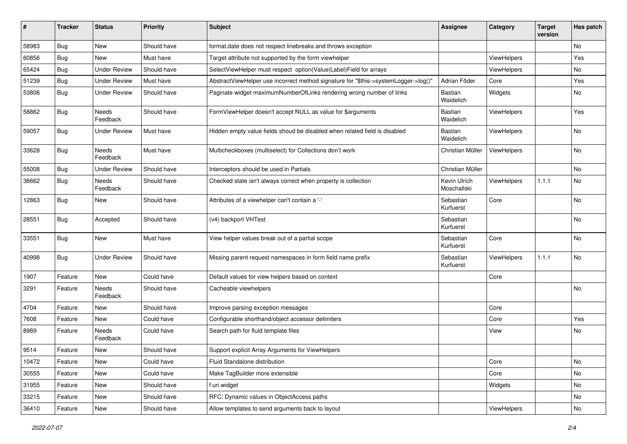| ∦     | <b>Tracker</b> | <b>Status</b>            | <b>Priority</b> | <b>Subject</b>                                                                      | <b>Assignee</b>             | Category    | <b>Target</b><br>version | Has patch |
|-------|----------------|--------------------------|-----------------|-------------------------------------------------------------------------------------|-----------------------------|-------------|--------------------------|-----------|
| 58983 | Bug            | New                      | Should have     | format.date does not respect linebreaks and throws exception                        |                             |             |                          | No        |
| 60856 | Bug            | <b>New</b>               | Must have       | Target attribute not supported by the form viewhelper                               |                             | ViewHelpers |                          | Yes       |
| 65424 | Bug            | <b>Under Review</b>      | Should have     | SelectViewHelper must respect option(Value Label)Field for arrays                   |                             | ViewHelpers |                          | No        |
| 51239 | Bug            | <b>Under Review</b>      | Must have       | AbstractViewHelper use incorrect method signature for "\$this->systemLogger->log()" | Adrian Föder                | Core        |                          | Yes       |
| 53806 | <b>Bug</b>     | <b>Under Review</b>      | Should have     | Paginate widget maximumNumberOfLinks rendering wrong number of links                | <b>Bastian</b><br>Waidelich | Widgets     |                          | No        |
| 58862 | Bug            | Needs<br>Feedback        | Should have     | FormViewHelper doesn't accept NULL as value for \$arguments                         | Bastian<br>Waidelich        | ViewHelpers |                          | Yes       |
| 59057 | Bug            | <b>Under Review</b>      | Must have       | Hidden empty value fields shoud be disabled when related field is disabled          | Bastian<br>Waidelich        | ViewHelpers |                          | No        |
| 33628 | Bug            | Needs<br>Feedback        | Must have       | Multicheckboxes (multiselect) for Collections don't work                            | Christian Müller            | ViewHelpers |                          | No        |
| 55008 | Bug            | <b>Under Review</b>      | Should have     | Interceptors should be used in Partials                                             | Christian Müller            |             |                          | No.       |
| 36662 | Bug            | <b>Needs</b><br>Feedback | Should have     | Checked state isn't always correct when property is collection                      | Kevin Ulrich<br>Moschallski | ViewHelpers | 1.1.1                    | No        |
| 12863 | Bug            | New                      | Should have     | Attributes of a viewhelper can't contain a '-'                                      | Sebastian<br>Kurfuerst      | Core        |                          | No        |
| 28551 | Bug            | Accepted                 | Should have     | (v4) backport VHTest                                                                | Sebastian<br>Kurfuerst      |             |                          | No        |
| 33551 | <b>Bug</b>     | New                      | Must have       | View helper values break out of a partial scope                                     | Sebastian<br>Kurfuerst      | Core        |                          | No        |
| 40998 | Bug            | <b>Under Review</b>      | Should have     | Missing parent request namespaces in form field name prefix                         | Sebastian<br>Kurfuerst      | ViewHelpers | 1.1.1                    | No        |
| 1907  | Feature        | <b>New</b>               | Could have      | Default values for view helpers based on context                                    |                             | Core        |                          |           |
| 3291  | Feature        | Needs<br>Feedback        | Should have     | Cacheable viewhelpers                                                               |                             |             |                          | No        |
| 4704  | Feature        | New                      | Should have     | Improve parsing exception messages                                                  |                             | Core        |                          |           |
| 7608  | Feature        | New                      | Could have      | Configurable shorthand/object accessor delimiters                                   |                             | Core        |                          | Yes       |
| 8989  | Feature        | Needs<br>Feedback        | Could have      | Search path for fluid template files                                                |                             | View        |                          | No        |
| 9514  | Feature        | New                      | Should have     | Support explicit Array Arguments for ViewHelpers                                    |                             |             |                          |           |
| 10472 | Feature        | New                      | Could have      | Fluid Standalone distribution                                                       |                             | Core        |                          | No        |
| 30555 | Feature        | New                      | Could have      | Make TagBuilder more extensible                                                     |                             | Core        |                          | No        |
| 31955 | Feature        | New                      | Should have     | f:uri.widget                                                                        |                             | Widgets     |                          | No        |
| 33215 | Feature        | New                      | Should have     | RFC: Dynamic values in ObjectAccess paths                                           |                             |             |                          | No        |
| 36410 | Feature        | New                      | Should have     | Allow templates to send arguments back to layout                                    |                             | ViewHelpers |                          | No        |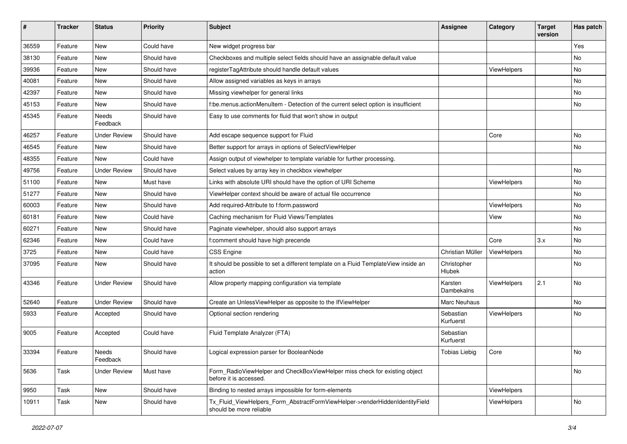| #     | <b>Tracker</b> | <b>Status</b>       | <b>Priority</b> | <b>Subject</b>                                                                                         | <b>Assignee</b>        | Category    | <b>Target</b><br>version | Has patch |
|-------|----------------|---------------------|-----------------|--------------------------------------------------------------------------------------------------------|------------------------|-------------|--------------------------|-----------|
| 36559 | Feature        | New                 | Could have      | New widget progress bar                                                                                |                        |             |                          | Yes       |
| 38130 | Feature        | New                 | Should have     | Checkboxes and multiple select fields should have an assignable default value                          |                        |             |                          | No        |
| 39936 | Feature        | New                 | Should have     | registerTagAttribute should handle default values                                                      |                        | ViewHelpers |                          | No        |
| 40081 | Feature        | New                 | Should have     | Allow assigned variables as keys in arrays                                                             |                        |             |                          | No        |
| 42397 | Feature        | New                 | Should have     | Missing viewhelper for general links                                                                   |                        |             |                          | No        |
| 45153 | Feature        | New                 | Should have     | f:be.menus.actionMenuItem - Detection of the current select option is insufficient                     |                        |             |                          | No        |
| 45345 | Feature        | Needs<br>Feedback   | Should have     | Easy to use comments for fluid that won't show in output                                               |                        |             |                          |           |
| 46257 | Feature        | <b>Under Review</b> | Should have     | Add escape sequence support for Fluid                                                                  |                        | Core        |                          | No        |
| 46545 | Feature        | New                 | Should have     | Better support for arrays in options of SelectViewHelper                                               |                        |             |                          | No        |
| 48355 | Feature        | <b>New</b>          | Could have      | Assign output of viewhelper to template variable for further processing.                               |                        |             |                          |           |
| 49756 | Feature        | <b>Under Review</b> | Should have     | Select values by array key in checkbox viewhelper                                                      |                        |             |                          | No        |
| 51100 | Feature        | New                 | Must have       | Links with absolute URI should have the option of URI Scheme                                           |                        | ViewHelpers |                          | No        |
| 51277 | Feature        | New                 | Should have     | ViewHelper context should be aware of actual file occurrence                                           |                        |             |                          | No        |
| 60003 | Feature        | New                 | Should have     | Add required-Attribute to f:form.password                                                              |                        | ViewHelpers |                          | No        |
| 60181 | Feature        | New                 | Could have      | Caching mechanism for Fluid Views/Templates                                                            |                        | View        |                          | No        |
| 60271 | Feature        | New                 | Should have     | Paginate viewhelper, should also support arrays                                                        |                        |             |                          | No        |
| 62346 | Feature        | New                 | Could have      | f:comment should have high precende                                                                    |                        | Core        | 3.x                      | No        |
| 3725  | Feature        | New                 | Could have      | <b>CSS Engine</b>                                                                                      | Christian Müller       | ViewHelpers |                          | <b>No</b> |
| 37095 | Feature        | New                 | Should have     | It should be possible to set a different template on a Fluid TemplateView inside an<br>action          | Christopher<br>Hlubek  |             |                          | No        |
| 43346 | Feature        | <b>Under Review</b> | Should have     | Allow property mapping configuration via template                                                      | Karsten<br>Dambekalns  | ViewHelpers | 2.1                      | <b>No</b> |
| 52640 | Feature        | <b>Under Review</b> | Should have     | Create an UnlessViewHelper as opposite to the IfViewHelper                                             | Marc Neuhaus           |             |                          | No        |
| 5933  | Feature        | Accepted            | Should have     | Optional section rendering                                                                             | Sebastian<br>Kurfuerst | ViewHelpers |                          | No        |
| 9005  | Feature        | Accepted            | Could have      | Fluid Template Analyzer (FTA)                                                                          | Sebastian<br>Kurfuerst |             |                          |           |
| 33394 | Feature        | Needs<br>Feedback   | Should have     | Logical expression parser for BooleanNode                                                              | Tobias Liebig          | Core        |                          | No        |
| 5636  | Task           | <b>Under Review</b> | Must have       | Form_RadioViewHelper and CheckBoxViewHelper miss check for existing object<br>before it is accessed.   |                        |             |                          | No        |
| 9950  | Task           | New                 | Should have     | Binding to nested arrays impossible for form-elements                                                  |                        | ViewHelpers |                          |           |
| 10911 | Task           | New                 | Should have     | Tx Fluid ViewHelpers Form AbstractFormViewHelper->renderHiddenIdentityField<br>should be more reliable |                        | ViewHelpers |                          | No        |